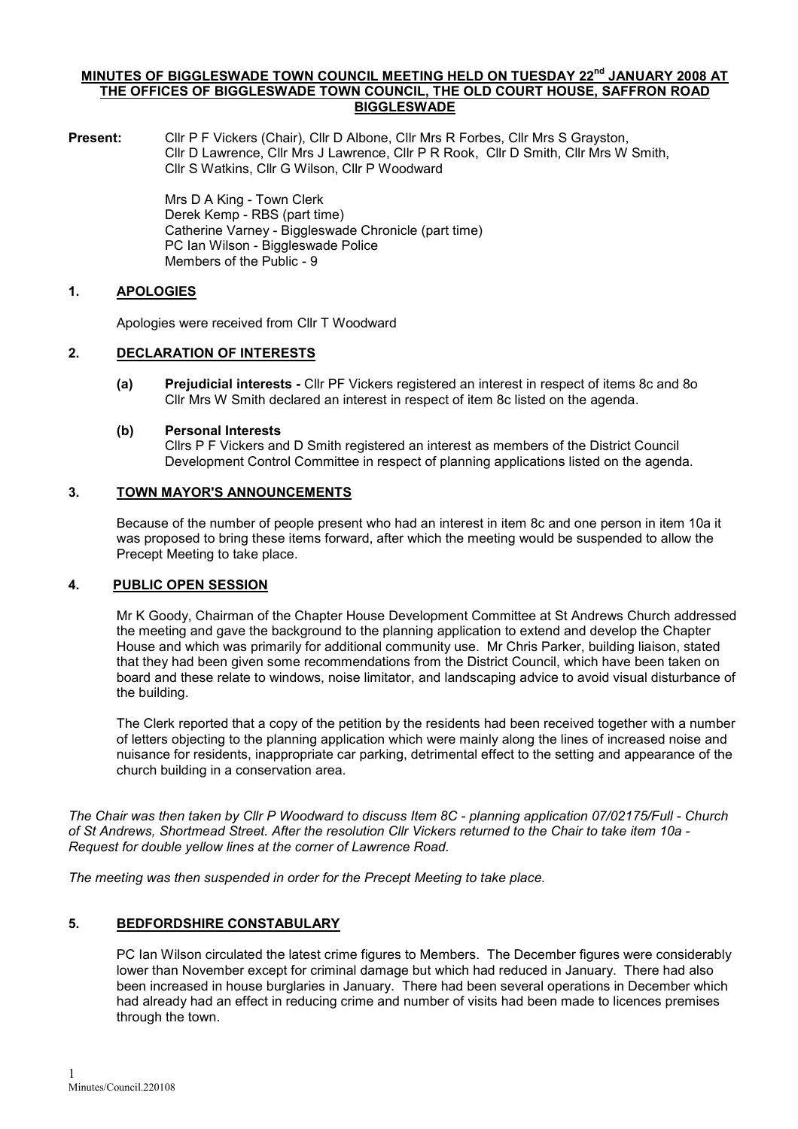#### MINUTES OF BIGGLESWADE TOWN COUNCIL MEETING HELD ON TUESDAY 22<sup>nd</sup> JANUARY 2008 AT THE OFFICES OF BIGGLESWADE TOWN COUNCIL, THE OLD COURT HOUSE, SAFFRON ROAD BIGGLESWADE

Present: Cllr P F Vickers (Chair), Cllr D Albone, Cllr Mrs R Forbes, Cllr Mrs S Grayston, Cllr D Lawrence, Cllr Mrs J Lawrence, Cllr P R Rook, Cllr D Smith, Cllr Mrs W Smith, Cllr S Watkins, Cllr G Wilson, Cllr P Woodward

> Mrs D A King - Town Clerk Derek Kemp - RBS (part time) Catherine Varney - Biggleswade Chronicle (part time) PC Ian Wilson - Biggleswade Police Members of the Public - 9

# 1. APOLOGIES

Apologies were received from Cllr T Woodward

# 2. DECLARATION OF INTERESTS

(a) Prejudicial interests - Cllr PF Vickers registered an interest in respect of items 8c and 8o Cllr Mrs W Smith declared an interest in respect of item 8c listed on the agenda.

#### (b) Personal Interests

Cllrs P F Vickers and D Smith registered an interest as members of the District Council Development Control Committee in respect of planning applications listed on the agenda.

# 3. TOWN MAYOR'S ANNOUNCEMENTS

Because of the number of people present who had an interest in item 8c and one person in item 10a it was proposed to bring these items forward, after which the meeting would be suspended to allow the Precept Meeting to take place.

# 4. PUBLIC OPEN SESSION

Mr K Goody, Chairman of the Chapter House Development Committee at St Andrews Church addressed the meeting and gave the background to the planning application to extend and develop the Chapter House and which was primarily for additional community use. Mr Chris Parker, building liaison, stated that they had been given some recommendations from the District Council, which have been taken on board and these relate to windows, noise limitator, and landscaping advice to avoid visual disturbance of the building.

The Clerk reported that a copy of the petition by the residents had been received together with a number of letters objecting to the planning application which were mainly along the lines of increased noise and nuisance for residents, inappropriate car parking, detrimental effect to the setting and appearance of the church building in a conservation area.

The Chair was then taken by Cllr P Woodward to discuss Item 8C - planning application 07/02175/Full - Church of St Andrews, Shortmead Street. After the resolution Cllr Vickers returned to the Chair to take item 10a - Request for double yellow lines at the corner of Lawrence Road.

The meeting was then suspended in order for the Precept Meeting to take place.

# 5. BEDFORDSHIRE CONSTABULARY

PC Ian Wilson circulated the latest crime figures to Members. The December figures were considerably lower than November except for criminal damage but which had reduced in January. There had also been increased in house burglaries in January. There had been several operations in December which had already had an effect in reducing crime and number of visits had been made to licences premises through the town.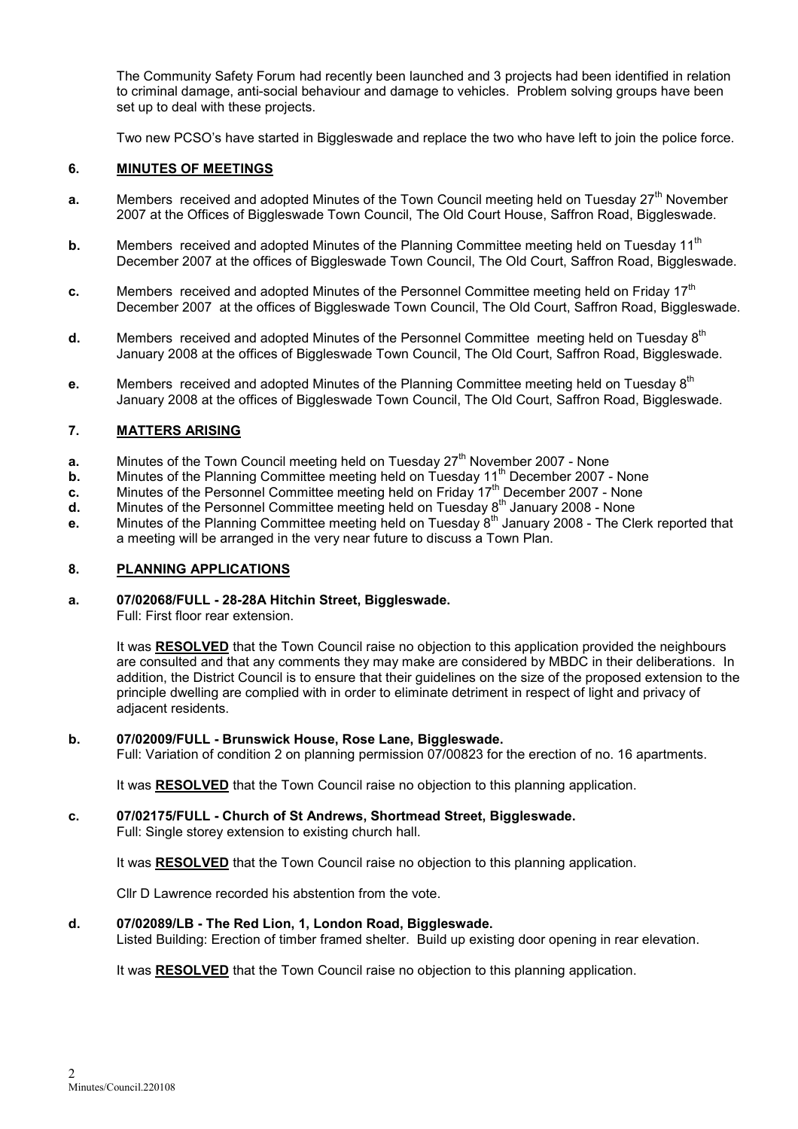The Community Safety Forum had recently been launched and 3 projects had been identified in relation to criminal damage, anti-social behaviour and damage to vehicles. Problem solving groups have been set up to deal with these projects.

Two new PCSO's have started in Biggleswade and replace the two who have left to join the police force.

#### 6. MINUTES OF MEETINGS

- a. Members received and adopted Minutes of the Town Council meeting held on Tuesday  $27<sup>th</sup>$  November 2007 at the Offices of Biggleswade Town Council, The Old Court House, Saffron Road, Biggleswade.
- **b.** Members received and adopted Minutes of the Planning Committee meeting held on Tuesday 11<sup>th</sup> December 2007 at the offices of Biggleswade Town Council, The Old Court, Saffron Road, Biggleswade.
- c. Members received and adopted Minutes of the Personnel Committee meeting held on Friday  $17<sup>th</sup>$ December 2007 at the offices of Biggleswade Town Council, The Old Court, Saffron Road, Biggleswade.
- **d.** Members received and adopted Minutes of the Personnel Committee meeting held on Tuesday  $8<sup>th</sup>$ January 2008 at the offices of Biggleswade Town Council, The Old Court, Saffron Road, Biggleswade.
- e. Members received and adopted Minutes of the Planning Committee meeting held on Tuesday 8<sup>th</sup> January 2008 at the offices of Biggleswade Town Council, The Old Court, Saffron Road, Biggleswade.

#### 7. MATTERS ARISING

- **a.** Minutes of the Town Council meeting held on Tuesday  $27<sup>th</sup>$  November 2007 None
- **b.** Minutes of the Planning Committee meeting held on Tuesday 11<sup>th</sup> December 2007 None
- c. Minutes of the Personnel Committee meeting held on Friday  $17<sup>th</sup>$  December 2007 None
- $d.$  Minutes of the Personnel Committee meeting held on Tuesday  $8<sup>th</sup>$  January 2008 None
- e. Minutes of the Planning Committee meeting held on Tuesday 8<sup>th</sup> January 2008 The Clerk reported that a meeting will be arranged in the very near future to discuss a Town Plan.

#### 8. PLANNING APPLICATIONS

# a. 07/02068/FULL - 28-28A Hitchin Street, Biggleswade.

Full: First floor rear extension.

It was RESOLVED that the Town Council raise no objection to this application provided the neighbours are consulted and that any comments they may make are considered by MBDC in their deliberations. In addition, the District Council is to ensure that their guidelines on the size of the proposed extension to the principle dwelling are complied with in order to eliminate detriment in respect of light and privacy of adjacent residents.

#### b. 07/02009/FULL - Brunswick House, Rose Lane, Biggleswade.

Full: Variation of condition 2 on planning permission 07/00823 for the erection of no. 16 apartments.

It was RESOLVED that the Town Council raise no objection to this planning application.

#### c. 07/02175/FULL - Church of St Andrews, Shortmead Street, Biggleswade.

Full: Single storey extension to existing church hall.

It was RESOLVED that the Town Council raise no objection to this planning application.

Cllr D Lawrence recorded his abstention from the vote.

#### d. 07/02089/LB - The Red Lion, 1, London Road, Biggleswade.

Listed Building: Erection of timber framed shelter. Build up existing door opening in rear elevation.

It was RESOLVED that the Town Council raise no objection to this planning application.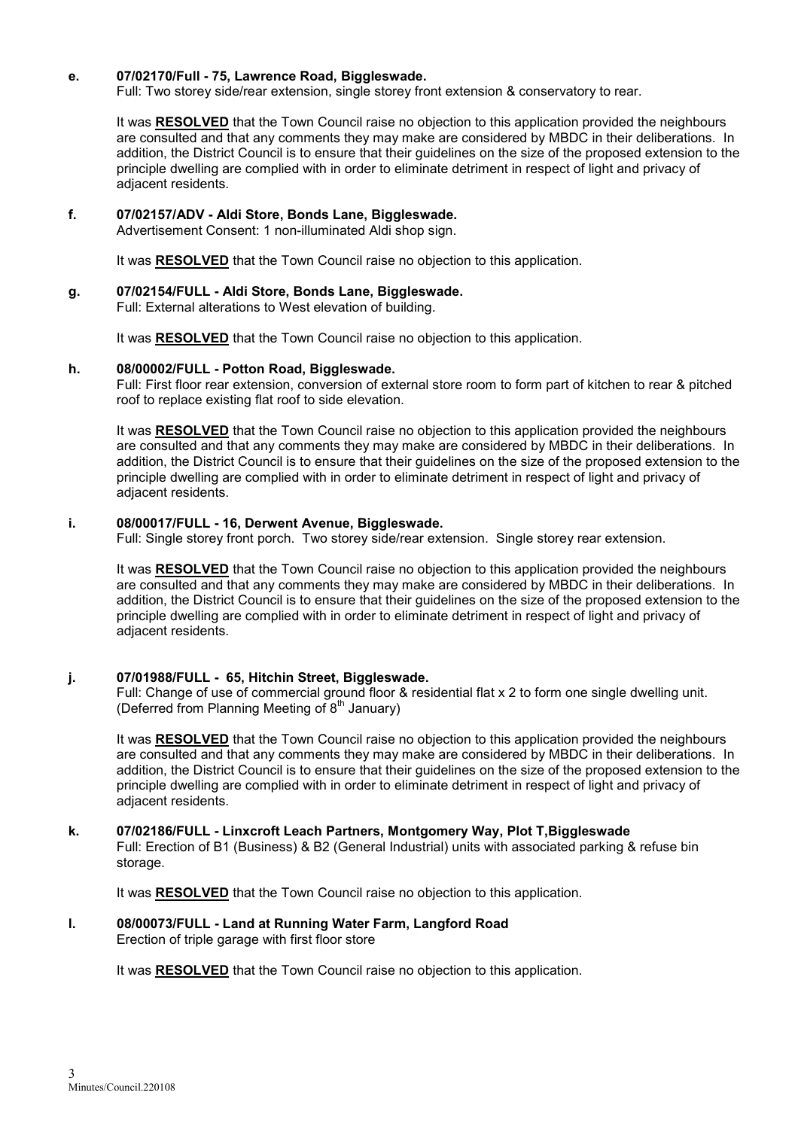#### e. 07/02170/Full - 75, Lawrence Road, Biggleswade.

Full: Two storey side/rear extension, single storey front extension & conservatory to rear.

It was RESOLVED that the Town Council raise no objection to this application provided the neighbours are consulted and that any comments they may make are considered by MBDC in their deliberations. In addition, the District Council is to ensure that their guidelines on the size of the proposed extension to the principle dwelling are complied with in order to eliminate detriment in respect of light and privacy of adjacent residents.

# f. 07/02157/ADV - Aldi Store, Bonds Lane, Biggleswade.

Advertisement Consent: 1 non-illuminated Aldi shop sign.

It was RESOLVED that the Town Council raise no objection to this application.

# g. 07/02154/FULL - Aldi Store, Bonds Lane, Biggleswade.

Full: External alterations to West elevation of building.

It was RESOLVED that the Town Council raise no objection to this application.

#### h. 08/00002/FULL - Potton Road, Biggleswade.

Full: First floor rear extension, conversion of external store room to form part of kitchen to rear & pitched roof to replace existing flat roof to side elevation.

It was RESOLVED that the Town Council raise no objection to this application provided the neighbours are consulted and that any comments they may make are considered by MBDC in their deliberations. In addition, the District Council is to ensure that their guidelines on the size of the proposed extension to the principle dwelling are complied with in order to eliminate detriment in respect of light and privacy of adjacent residents.

#### i. 08/00017/FULL - 16, Derwent Avenue, Biggleswade.

Full: Single storey front porch. Two storey side/rear extension. Single storey rear extension.

It was RESOLVED that the Town Council raise no objection to this application provided the neighbours are consulted and that any comments they may make are considered by MBDC in their deliberations. In addition, the District Council is to ensure that their guidelines on the size of the proposed extension to the principle dwelling are complied with in order to eliminate detriment in respect of light and privacy of adjacent residents.

# j. 07/01988/FULL - 65, Hitchin Street, Biggleswade.

Full: Change of use of commercial ground floor & residential flat x 2 to form one single dwelling unit. (Deferred from Planning Meeting of  $8<sup>th</sup>$  January)

It was RESOLVED that the Town Council raise no objection to this application provided the neighbours are consulted and that any comments they may make are considered by MBDC in their deliberations. In addition, the District Council is to ensure that their guidelines on the size of the proposed extension to the principle dwelling are complied with in order to eliminate detriment in respect of light and privacy of adjacent residents.

# k. 07/02186/FULL - Linxcroft Leach Partners, Montgomery Way, Plot T,Biggleswade

Full: Erection of B1 (Business) & B2 (General Industrial) units with associated parking & refuse bin storage.

It was RESOLVED that the Town Council raise no objection to this application.

# l. 08/00073/FULL - Land at Running Water Farm, Langford Road

Erection of triple garage with first floor store

It was RESOLVED that the Town Council raise no objection to this application.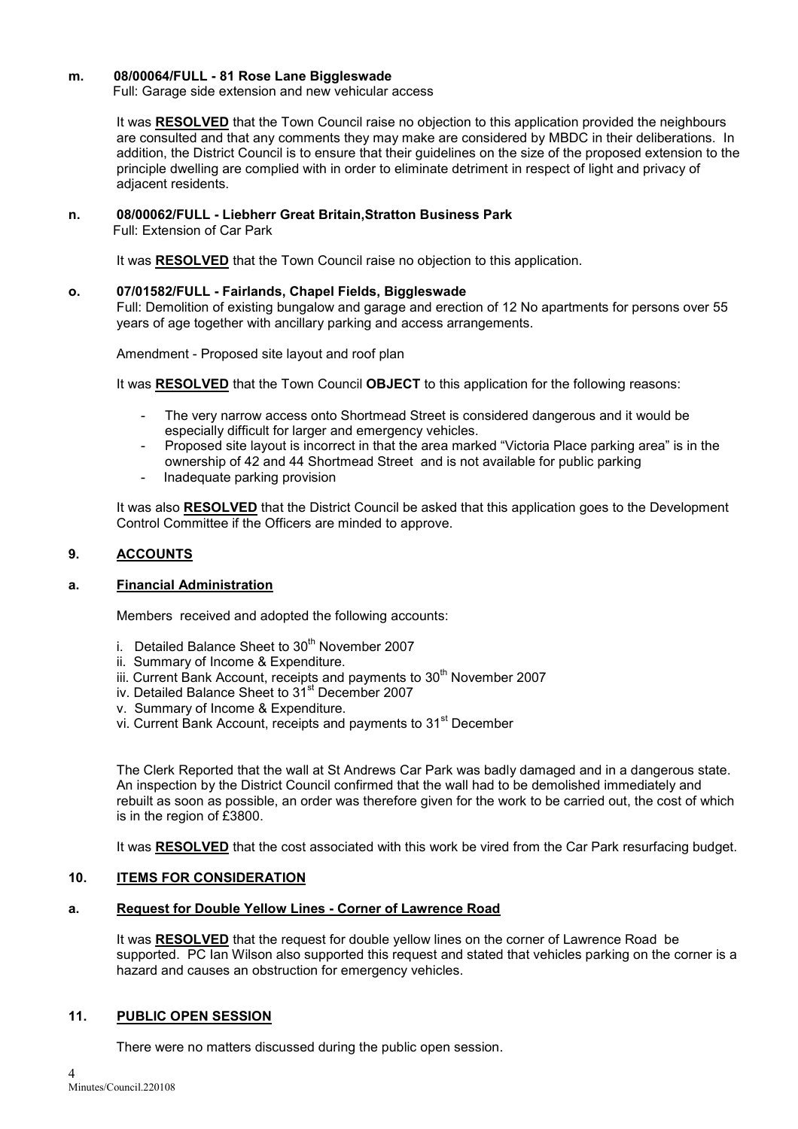#### m. 08/00064/FULL - 81 Rose Lane Biggleswade

Full: Garage side extension and new vehicular access

It was RESOLVED that the Town Council raise no objection to this application provided the neighbours are consulted and that any comments they may make are considered by MBDC in their deliberations. In addition, the District Council is to ensure that their guidelines on the size of the proposed extension to the principle dwelling are complied with in order to eliminate detriment in respect of light and privacy of adjacent residents.

#### n. 08/00062/FULL - Liebherr Great Britain,Stratton Business Park

Full: Extension of Car Park

It was RESOLVED that the Town Council raise no objection to this application.

#### o. 07/01582/FULL - Fairlands, Chapel Fields, Biggleswade

Full: Demolition of existing bungalow and garage and erection of 12 No apartments for persons over 55 years of age together with ancillary parking and access arrangements.

Amendment - Proposed site layout and roof plan

It was RESOLVED that the Town Council OBJECT to this application for the following reasons:

- The very narrow access onto Shortmead Street is considered dangerous and it would be especially difficult for larger and emergency vehicles.
- Proposed site layout is incorrect in that the area marked "Victoria Place parking area" is in the ownership of 42 and 44 Shortmead Street and is not available for public parking
- Inadequate parking provision

It was also RESOLVED that the District Council be asked that this application goes to the Development Control Committee if the Officers are minded to approve.

# 9. ACCOUNTS

# a. Financial Administration

Members received and adopted the following accounts:

- i. Detailed Balance Sheet to  $30<sup>th</sup>$  November 2007
- ii. Summary of Income & Expenditure.
- iii. Current Bank Account, receipts and payments to 30<sup>th</sup> November 2007
- iv. Detailed Balance Sheet to 31<sup>st</sup> December 2007
- v. Summary of Income & Expenditure.
- vi. Current Bank Account, receipts and payments to 31<sup>st</sup> December

The Clerk Reported that the wall at St Andrews Car Park was badly damaged and in a dangerous state. An inspection by the District Council confirmed that the wall had to be demolished immediately and rebuilt as soon as possible, an order was therefore given for the work to be carried out, the cost of which is in the region of £3800.

It was RESOLVED that the cost associated with this work be vired from the Car Park resurfacing budget.

# 10. ITEMS FOR CONSIDERATION

# a. Request for Double Yellow Lines - Corner of Lawrence Road

It was RESOLVED that the request for double yellow lines on the corner of Lawrence Road be supported. PC Ian Wilson also supported this request and stated that vehicles parking on the corner is a hazard and causes an obstruction for emergency vehicles.

# 11. PUBLIC OPEN SESSION

There were no matters discussed during the public open session.